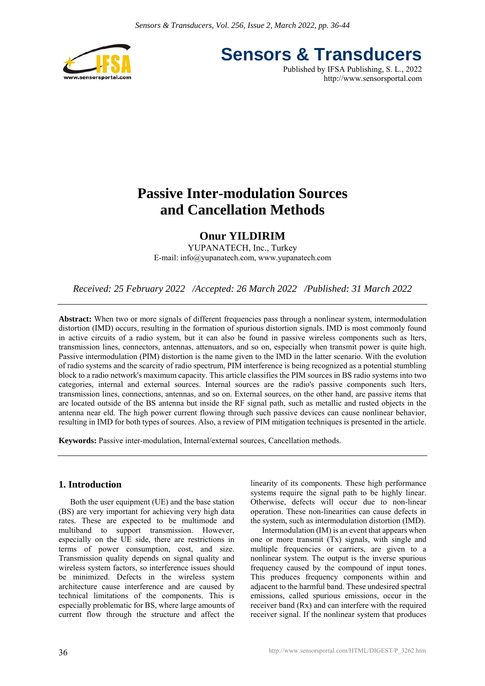

**Sensors & Transducers**

Published by IFSA Publishing, S. L., 2022 http://www.sensorsportal.com

## **Passive Inter-modulation Sources and Cancellation Methods**

### **Onur YILDIRIM**

YUPANATECH, Inc., Turkey E-mail: info@yupanatech.com, www.yupanatech.com

*Received: 25 February 2022 /Accepted: 26 March 2022 /Published: 31 March 2022* 

**Abstract:** When two or more signals of different frequencies pass through a nonlinear system, intermodulation distortion (IMD) occurs, resulting in the formation of spurious distortion signals. IMD is most commonly found in active circuits of a radio system, but it can also be found in passive wireless components such as lters, transmission lines, connectors, antennas, attenuators, and so on, especially when transmit power is quite high. Passive intermodulation (PIM) distortion is the name given to the IMD in the latter scenario. With the evolution of radio systems and the scarcity of radio spectrum, PIM interference is being recognized as a potential stumbling block to a radio network's maximum capacity. This article classifies the PIM sources in BS radio systems into two categories, internal and external sources. Internal sources are the radio's passive components such lters, transmission lines, connections, antennas, and so on. External sources, on the other hand, are passive items that are located outside of the BS antenna but inside the RF signal path, such as metallic and rusted objects in the antenna near eld. The high power current flowing through such passive devices can cause nonlinear behavior, resulting in IMD for both types of sources. Also, a review of PIM mitigation techniques is presented in the article.

**Keywords:** Passive inter-modulation, Internal/external sources, Cancellation methods.

#### **1. Introduction**

Both the user equipment (UE) and the base station (BS) are very important for achieving very high data rates. These are expected to be multimode and multiband to support transmission. However, especially on the UE side, there are restrictions in terms of power consumption, cost, and size. Transmission quality depends on signal quality and wireless system factors, so interference issues should be minimized. Defects in the wireless system architecture cause interference and are caused by technical limitations of the components. This is especially problematic for BS, where large amounts of current flow through the structure and affect the linearity of its components. These high performance systems require the signal path to be highly linear. Otherwise, defects will occur due to non-linear operation. These non-linearities can cause defects in the system, such as intermodulation distortion (IMD).

Intermodulation (IM) is an event that appears when one or more transmit (Tx) signals, with single and multiple frequencies or carriers, are given to a nonlinear system. The output is the inverse spurious frequency caused by the compound of input tones. This produces frequency components within and adjacent to the harmful band. These undesired spectral emissions, called spurious emissions, occur in the receiver band (Rx) and can interfere with the required receiver signal. If the nonlinear system that produces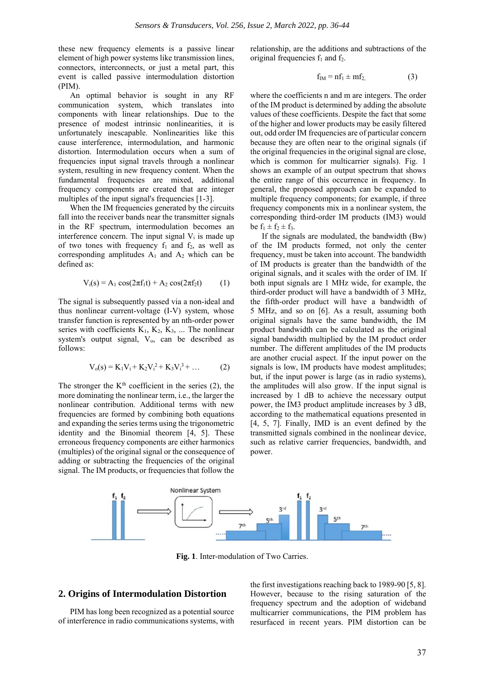these new frequency elements is a passive linear element of high power systems like transmission lines, connectors, interconnects, or just a metal part, this event is called passive intermodulation distortion (PIM).

An optimal behavior is sought in any RF communication system, which translates into components with linear relationships. Due to the presence of modest intrinsic nonlinearities, it is unfortunately inescapable. Nonlinearities like this cause interference, intermodulation, and harmonic distortion. Intermodulation occurs when a sum of frequencies input signal travels through a nonlinear system, resulting in new frequency content. When the fundamental frequencies are mixed, additional frequency components are created that are integer multiples of the input signal's frequencies [1-3].

When the IM frequencies generated by the circuits fall into the receiver bands near the transmitter signals in the RF spectrum, intermodulation becomes an interference concern. The input signal  $V_i$  is made up of two tones with frequency  $f_1$  and  $f_2$ , as well as corresponding amplitudes  $A_1$  and  $A_2$  which can be defined as:

$$
V_i(s) = A_1 \cos(2\pi f_1 t) + A_2 \cos(2\pi f_2 t)
$$
 (1)

The signal is subsequently passed via a non-ideal and thus nonlinear current-voltage (I-V) system, whose transfer function is represented by an nth-order power series with coefficients  $K_1$ ,  $K_2$ ,  $K_3$ , ... The nonlinear system's output signal,  $V_0$ , can be described as follows:

$$
V_0(s) = K_1 V_1 + K_2 V_1^2 + K_3 V_1^3 + \dots
$$
 (2)

The stronger the  $K<sup>th</sup>$  coefficient in the series (2), the more dominating the nonlinear term, i.e., the larger the nonlinear contribution. Additional terms with new frequencies are formed by combining both equations and expanding the series terms using the trigonometric identity and the Binomial theorem [4, 5]. These erroneous frequency components are either harmonics (multiples) of the original signal or the consequence of adding or subtracting the frequencies of the original signal. The IM products, or frequencies that follow the

relationship, are the additions and subtractions of the original frequencies  $f_1$  and  $f_2$ .

$$
f_{IM} = nf_1 \pm mf_2,\tag{3}
$$

where the coefficients n and m are integers. The order of the IM product is determined by adding the absolute values of these coefficients. Despite the fact that some of the higher and lower products may be easily filtered out, odd order IM frequencies are of particular concern because they are often near to the original signals (if the original frequencies in the original signal are close, which is common for multicarrier signals). Fig. 1 shows an example of an output spectrum that shows the entire range of this occurrence in frequency. In general, the proposed approach can be expanded to multiple frequency components; for example, if three frequency components mix in a nonlinear system, the corresponding third-order IM products (IM3) would be  $f_1 \pm f_2 \pm f_3$ .

If the signals are modulated, the bandwidth (Bw) of the IM products formed, not only the center frequency, must be taken into account. The bandwidth of IM products is greater than the bandwidth of the original signals, and it scales with the order of IM. If both input signals are 1 MHz wide, for example, the third-order product will have a bandwidth of 3 MHz, the fifth-order product will have a bandwidth of 5 MHz, and so on [6]. As a result, assuming both original signals have the same bandwidth, the IM product bandwidth can be calculated as the original signal bandwidth multiplied by the IM product order number. The different amplitudes of the IM products are another crucial aspect. If the input power on the signals is low, IM products have modest amplitudes; but, if the input power is large (as in radio systems), the amplitudes will also grow. If the input signal is increased by 1 dB to achieve the necessary output power, the IM3 product amplitude increases by 3 dB, according to the mathematical equations presented in [4, 5, 7]. Finally, IMD is an event defined by the transmitted signals combined in the nonlinear device, such as relative carrier frequencies, bandwidth, and power.



**Fig. 1**. Inter-modulation of Two Carries.

#### **2. Origins of Intermodulation Distortion**

PIM has long been recognized as a potential source of interference in radio communications systems, with the first investigations reaching back to 1989-90 [5, 8]. However, because to the rising saturation of the frequency spectrum and the adoption of wideband multicarrier communications, the PIM problem has resurfaced in recent years. PIM distortion can be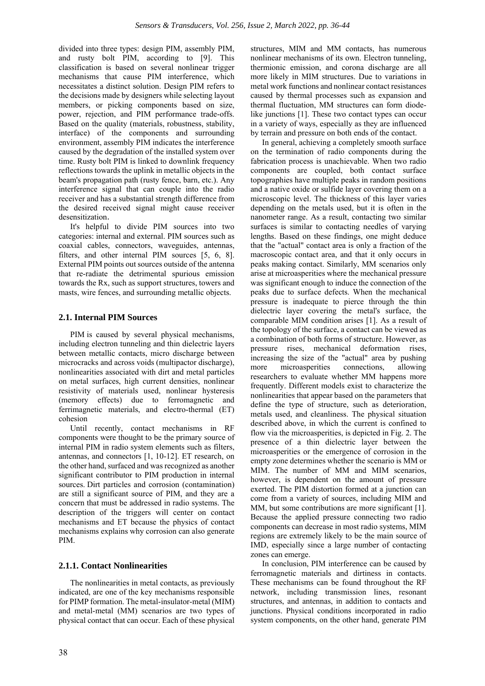divided into three types: design PIM, assembly PIM, and rusty bolt PIM, according to [9]. This classification is based on several nonlinear trigger mechanisms that cause PIM interference, which necessitates a distinct solution. Design PIM refers to the decisions made by designers while selecting layout members, or picking components based on size, power, rejection, and PIM performance trade-offs. Based on the quality (materials, robustness, stability, interface) of the components and surrounding environment, assembly PIM indicates the interference caused by the degradation of the installed system over time. Rusty bolt PIM is linked to downlink frequency reflections towards the uplink in metallic objects in the beam's propagation path (rusty fence, barn, etc.). Any interference signal that can couple into the radio receiver and has a substantial strength difference from the desired received signal might cause receiver desensitization.

It's helpful to divide PIM sources into two categories: internal and external. PIM sources such as coaxial cables, connectors, waveguides, antennas, filters, and other internal PIM sources [5, 6, 8]. External PIM points out sources outside of the antenna that re-radiate the detrimental spurious emission towards the Rx, such as support structures, towers and masts, wire fences, and surrounding metallic objects.

#### **2.1. Internal PIM Sources**

PIM is caused by several physical mechanisms, including electron tunneling and thin dielectric layers between metallic contacts, micro discharge between microcracks and across voids (multipactor discharge), nonlinearities associated with dirt and metal particles on metal surfaces, high current densities, nonlinear resistivity of materials used, nonlinear hysteresis (memory effects) due to ferromagnetic and ferrimagnetic materials, and electro-thermal (ET) cohesion

Until recently, contact mechanisms in RF components were thought to be the primary source of internal PIM in radio system elements such as filters, antennas, and connectors [1, 10-12]. ET research, on the other hand, surfaced and was recognized as another significant contributor to PIM production in internal sources. Dirt particles and corrosion (contamination) are still a significant source of PIM, and they are a concern that must be addressed in radio systems. The description of the triggers will center on contact mechanisms and ET because the physics of contact mechanisms explains why corrosion can also generate PIM.

#### **2.1.1. Contact Nonlinearities**

The nonlinearities in metal contacts, as previously indicated, are one of the key mechanisms responsible for PIMP formation. The metal-insulator-metal (MIM) and metal-metal (MM) scenarios are two types of physical contact that can occur. Each of these physical structures, MIM and MM contacts, has numerous nonlinear mechanisms of its own. Electron tunneling, thermionic emission, and corona discharge are all more likely in MIM structures. Due to variations in metal work functions and nonlinear contact resistances caused by thermal processes such as expansion and thermal fluctuation, MM structures can form diodelike junctions [1]. These two contact types can occur in a variety of ways, especially as they are influenced by terrain and pressure on both ends of the contact.

In general, achieving a completely smooth surface on the termination of radio components during the fabrication process is unachievable. When two radio components are coupled, both contact surface topographies have multiple peaks in random positions and a native oxide or sulfide layer covering them on a microscopic level. The thickness of this layer varies depending on the metals used, but it is often in the nanometer range. As a result, contacting two similar surfaces is similar to contacting needles of varying lengths. Based on these findings, one might deduce that the "actual" contact area is only a fraction of the macroscopic contact area, and that it only occurs in peaks making contact. Similarly, MM scenarios only arise at microasperities where the mechanical pressure was significant enough to induce the connection of the peaks due to surface defects. When the mechanical pressure is inadequate to pierce through the thin dielectric layer covering the metal's surface, the comparable MIM condition arises [1]. As a result of the topology of the surface, a contact can be viewed as a combination of both forms of structure. However, as pressure rises, mechanical deformation rises, increasing the size of the "actual" area by pushing more microasperities connections, allowing researchers to evaluate whether MM happens more frequently. Different models exist to characterize the nonlinearities that appear based on the parameters that define the type of structure, such as deterioration, metals used, and cleanliness. The physical situation described above, in which the current is confined to flow via the microasperities, is depicted in Fig. 2. The presence of a thin dielectric layer between the microasperities or the emergence of corrosion in the empty zone determines whether the scenario is MM or MIM. The number of MM and MIM scenarios, however, is dependent on the amount of pressure exerted. The PIM distortion formed at a junction can come from a variety of sources, including MIM and MM, but some contributions are more significant [1]. Because the applied pressure connecting two radio components can decrease in most radio systems, MIM regions are extremely likely to be the main source of IMD, especially since a large number of contacting zones can emerge.

In conclusion, PIM interference can be caused by ferromagnetic materials and dirtiness in contacts. These mechanisms can be found throughout the RF network, including transmission lines, resonant structures, and antennas, in addition to contacts and junctions. Physical conditions incorporated in radio system components, on the other hand, generate PIM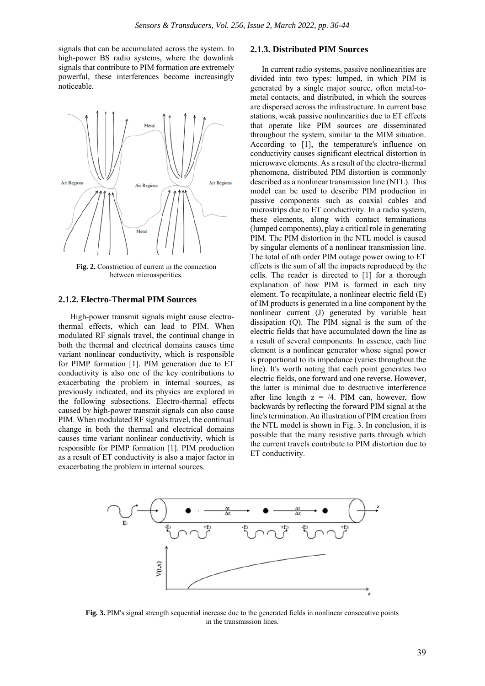signals that can be accumulated across the system. In high-power BS radio systems, where the downlink signals that contribute to PIM formation are extremely powerful, these interferences become increasingly noticeable.



**Fig. 2.** Constriction of current in the connection between microasperities.

#### **2.1.2. Electro-Thermal PIM Sources**

High-power transmit signals might cause electrothermal effects, which can lead to PIM. When modulated RF signals travel, the continual change in both the thermal and electrical domains causes time variant nonlinear conductivity, which is responsible for PIMP formation [1]. PIM generation due to ET conductivity is also one of the key contributions to exacerbating the problem in internal sources, as previously indicated, and its physics are explored in the following subsections. Electro-thermal effects caused by high-power transmit signals can also cause PIM. When modulated RF signals travel, the continual change in both the thermal and electrical domains causes time variant nonlinear conductivity, which is responsible for PIMP formation [1]. PIM production as a result of ET conductivity is also a major factor in exacerbating the problem in internal sources.

#### **2.1.3. Distributed PIM Sources**

In current radio systems, passive nonlinearities are divided into two types: lumped, in which PIM is generated by a single major source, often metal-tometal contacts, and distributed, in which the sources are dispersed across the infrastructure. In current base stations, weak passive nonlinearities due to ET effects that operate like PIM sources are disseminated throughout the system, similar to the MIM situation. According to [1], the temperature's influence on conductivity causes significant electrical distortion in microwave elements. As a result of the electro-thermal phenomena, distributed PIM distortion is commonly described as a nonlinear transmission line (NTL). This model can be used to describe PIM production in passive components such as coaxial cables and microstrips due to ET conductivity. In a radio system, these elements, along with contact terminations (lumped components), play a critical role in generating PIM. The PIM distortion in the NTL model is caused by singular elements of a nonlinear transmission line. The total of nth order PIM outage power owing to ET effects is the sum of all the impacts reproduced by the cells. The reader is directed to [1] for a thorough explanation of how PIM is formed in each tiny element. To recapitulate, a nonlinear electric field (E) of IM products is generated in a line component by the nonlinear current (J) generated by variable heat dissipation (Q). The PIM signal is the sum of the electric fields that have accumulated down the line as a result of several components. In essence, each line element is a nonlinear generator whose signal power is proportional to its impedance (varies throughout the line). It's worth noting that each point generates two electric fields, one forward and one reverse. However, the latter is minimal due to destructive interference after line length  $z = 4$ . PIM can, however, flow backwards by reflecting the forward PIM signal at the line's termination. An illustration of PIM creation from the NTL model is shown in Fig. 3. In conclusion, it is possible that the many resistive parts through which the current travels contribute to PIM distortion due to ET conductivity.



**Fig. 3.** PIM's signal strength sequential increase due to the generated fields in nonlinear consecutive points in the transmission lines.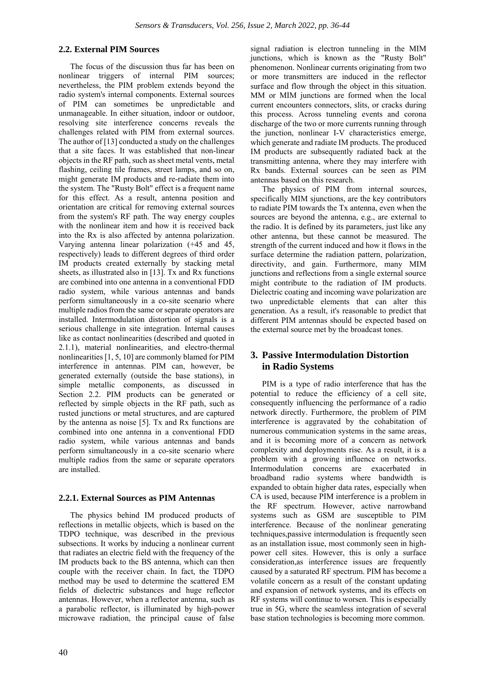#### **2.2. External PIM Sources**

The focus of the discussion thus far has been on nonlinear triggers of internal PIM sources; nevertheless, the PIM problem extends beyond the radio system's internal components. External sources of PIM can sometimes be unpredictable and unmanageable. In either situation, indoor or outdoor, resolving site interference concerns reveals the challenges related with PIM from external sources. The author of [13] conducted a study on the challenges that a site faces. It was established that non-linear objects in the RF path, such as sheet metal vents, metal flashing, ceiling tile frames, street lamps, and so on, might generate IM products and re-radiate them into the system. The "Rusty Bolt" effect is a frequent name for this effect. As a result, antenna position and orientation are critical for removing external sources from the system's RF path. The way energy couples with the nonlinear item and how it is received back into the Rx is also affected by antenna polarization. Varying antenna linear polarization (+45 and 45, respectively) leads to different degrees of third order IM products created externally by stacking metal sheets, as illustrated also in [13]. Tx and Rx functions are combined into one antenna in a conventional FDD radio system, while various antennas and bands perform simultaneously in a co-site scenario where multiple radios from the same or separate operators are installed. Intermodulation distortion of signals is a serious challenge in site integration. Internal causes like as contact nonlinearities (described and quoted in 2.1.1), material nonlinearities, and electro-thermal nonlinearities [1, 5, 10] are commonly blamed for PIM interference in antennas. PIM can, however, be generated externally (outside the base stations), in simple metallic components, as discussed in Section 2.2. PIM products can be generated or reflected by simple objects in the RF path, such as rusted junctions or metal structures, and are captured by the antenna as noise [5]. Tx and Rx functions are combined into one antenna in a conventional FDD radio system, while various antennas and bands perform simultaneously in a co-site scenario where multiple radios from the same or separate operators are installed.

#### **2.2.1. External Sources as PIM Antennas**

The physics behind IM produced products of reflections in metallic objects, which is based on the TDPO technique, was described in the previous subsections. It works by inducing a nonlinear current that radiates an electric field with the frequency of the IM products back to the BS antenna, which can then couple with the receiver chain. In fact, the TDPO method may be used to determine the scattered EM fields of dielectric substances and huge reflector antennas. However, when a reflector antenna, such as a parabolic reflector, is illuminated by high-power microwave radiation, the principal cause of false

signal radiation is electron tunneling in the MIM junctions, which is known as the "Rusty Bolt" phenomenon. Nonlinear currents originating from two or more transmitters are induced in the reflector surface and flow through the object in this situation. MM or MIM junctions are formed when the local current encounters connectors, slits, or cracks during this process. Across tunneling events and corona discharge of the two or more currents running through the junction, nonlinear I-V characteristics emerge, which generate and radiate IM products. The produced IM products are subsequently radiated back at the transmitting antenna, where they may interfere with Rx bands. External sources can be seen as PIM antennas based on this research.

The physics of PIM from internal sources, specifically MIM sjunctions, are the key contributors to radiate PIM towards the Tx antenna, even when the sources are beyond the antenna, e.g., are external to the radio. It is defined by its parameters, just like any other antenna, but these cannot be measured. The strength of the current induced and how it flows in the surface determine the radiation pattern, polarization, directivity, and gain. Furthermore, many MIM junctions and reflections from a single external source might contribute to the radiation of IM products. Dielectric coating and incoming wave polarization are two unpredictable elements that can alter this generation. As a result, it's reasonable to predict that different PIM antennas should be expected based on the external source met by the broadcast tones.

#### **3. Passive Intermodulation Distortion in Radio Systems**

PIM is a type of radio interference that has the potential to reduce the efficiency of a cell site, consequently influencing the performance of a radio network directly. Furthermore, the problem of PIM interference is aggravated by the cohabitation of numerous communication systems in the same areas, and it is becoming more of a concern as network complexity and deployments rise. As a result, it is a problem with a growing influence on networks. Intermodulation concerns are exacerbated in broadband radio systems where bandwidth is expanded to obtain higher data rates, especially when CA is used, because PIM interference is a problem in the RF spectrum. However, active narrowband systems such as GSM are susceptible to PIM interference. Because of the nonlinear generating techniques,passive intermodulation is frequently seen as an installation issue, most commonly seen in highpower cell sites. However, this is only a surface consideration,as interference issues are frequently caused by a saturated RF spectrum. PIM has become a volatile concern as a result of the constant updating and expansion of network systems, and its effects on RF systems will continue to worsen. This is especially true in 5G, where the seamless integration of several base station technologies is becoming more common.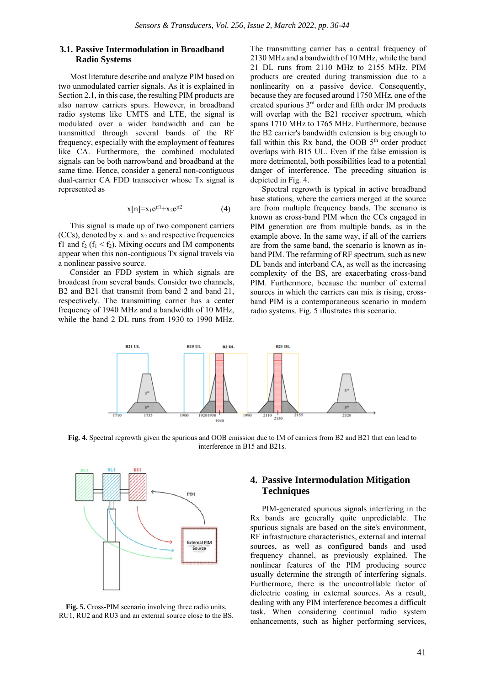#### **3.1. Passive Intermodulation in Broadband Radio Systems**

Most literature describe and analyze PIM based on two unmodulated carrier signals. As it is explained in Section 2.1, in this case, the resulting PIM products are also narrow carriers spurs. However, in broadband radio systems like UMTS and LTE, the signal is modulated over a wider bandwidth and can be transmitted through several bands of the RF frequency, especially with the employment of features like CA. Furthermore, the combined modulated signals can be both narrowband and broadband at the same time. Hence, consider a general non-contiguous dual-carrier CA FDD transceiver whose Tx signal is represented as

$$
x[n] = x_1 e^{jf1} + x_2 e^{jf2}
$$
 (4)

This signal is made up of two component carriers (CCs), denoted by  $x_1$  and  $x_2$  and respective frequencies f1 and  $f_2$  ( $f_1 < f_2$ ). Mixing occurs and IM components appear when this non-contiguous Tx signal travels via a nonlinear passive source.

Consider an FDD system in which signals are broadcast from several bands. Consider two channels, B2 and B21 that transmit from band 2 and band 21, respectively. The transmitting carrier has a center frequency of 1940 MHz and a bandwidth of 10 MHz, while the band 2 DL runs from 1930 to 1990 MHz.

The transmitting carrier has a central frequency of 2130 MHz and a bandwidth of 10 MHz, while the band 21 DL runs from 2110 MHz to 2155 MHz. PIM products are created during transmission due to a nonlinearity on a passive device. Consequently, because they are focused around 1750 MHz, one of the created spurious 3rd order and fifth order IM products will overlap with the B21 receiver spectrum, which spans 1710 MHz to 1765 MHz. Furthermore, because the B2 carrier's bandwidth extension is big enough to fall within this Rx band, the OOB  $5<sup>th</sup>$  order product overlaps with B15 UL. Even if the false emission is more detrimental, both possibilities lead to a potential danger of interference. The preceding situation is depicted in Fig. 4.

Spectral regrowth is typical in active broadband base stations, where the carriers merged at the source are from multiple frequency bands. The scenario is known as cross-band PIM when the CCs engaged in PIM generation are from multiple bands, as in the example above. In the same way, if all of the carriers are from the same band, the scenario is known as inband PIM. The refarming of RF spectrum, such as new DL bands and interband CA, as well as the increasing complexity of the BS, are exacerbating cross-band PIM. Furthermore, because the number of external sources in which the carriers can mix is rising, crossband PIM is a contemporaneous scenario in modern radio systems. Fig. 5 illustrates this scenario.



**Fig. 4.** Spectral regrowth given the spurious and OOB emission due to IM of carriers from B2 and B21 that can lead to interference in B15 and B21s.



**Fig. 5.** Cross-PIM scenario involving three radio units, RU1, RU2 and RU3 and an external source close to the BS.

#### **4. Passive Intermodulation Mitigation Techniques**

PIM-generated spurious signals interfering in the Rx bands are generally quite unpredictable. The spurious signals are based on the site's environment, RF infrastructure characteristics, external and internal sources, as well as configured bands and used frequency channel, as previously explained. The nonlinear features of the PIM producing source usually determine the strength of interfering signals. Furthermore, there is the uncontrollable factor of dielectric coating in external sources. As a result, dealing with any PIM interference becomes a difficult task. When considering continual radio system enhancements, such as higher performing services,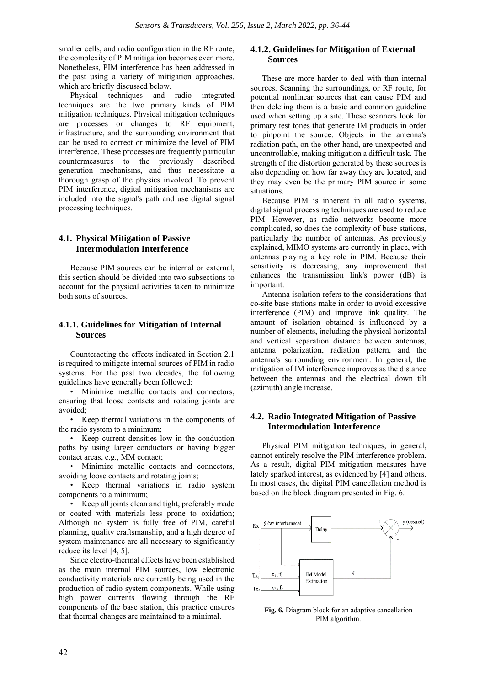smaller cells, and radio configuration in the RF route, the complexity of PIM mitigation becomes even more. Nonetheless, PIM interference has been addressed in the past using a variety of mitigation approaches, which are briefly discussed below.

Physical techniques and radio integrated techniques are the two primary kinds of PIM mitigation techniques. Physical mitigation techniques are processes or changes to RF equipment, infrastructure, and the surrounding environment that can be used to correct or minimize the level of PIM interference. These processes are frequently particular countermeasures to the previously described generation mechanisms, and thus necessitate a thorough grasp of the physics involved. To prevent PIM interference, digital mitigation mechanisms are included into the signal's path and use digital signal processing techniques.

#### **4.1. Physical Mitigation of Passive Intermodulation Interference**

Because PIM sources can be internal or external, this section should be divided into two subsections to account for the physical activities taken to minimize both sorts of sources.

#### **4.1.1. Guidelines for Mitigation of Internal Sources**

Counteracting the effects indicated in Section 2.1 is required to mitigate internal sources of PIM in radio systems. For the past two decades, the following guidelines have generally been followed:

• Minimize metallic contacts and connectors, ensuring that loose contacts and rotating joints are avoided;

• Keep thermal variations in the components of the radio system to a minimum;

• Keep current densities low in the conduction paths by using larger conductors or having bigger contact areas, e.g., MM contact;

• Minimize metallic contacts and connectors, avoiding loose contacts and rotating joints;

• Keep thermal variations in radio system components to a minimum;

• Keep all joints clean and tight, preferably made or coated with materials less prone to oxidation; Although no system is fully free of PIM, careful planning, quality craftsmanship, and a high degree of system maintenance are all necessary to significantly reduce its level [4, 5].

Since electro-thermal effects have been established as the main internal PIM sources, low electronic conductivity materials are currently being used in the production of radio system components. While using high power currents flowing through the RF components of the base station, this practice ensures that thermal changes are maintained to a minimal.

#### **4.1.2. Guidelines for Mitigation of External Sources**

These are more harder to deal with than internal sources. Scanning the surroundings, or RF route, for potential nonlinear sources that can cause PIM and then deleting them is a basic and common guideline used when setting up a site. These scanners look for primary test tones that generate IM products in order to pinpoint the source. Objects in the antenna's radiation path, on the other hand, are unexpected and uncontrollable, making mitigation a difficult task. The strength of the distortion generated by these sources is also depending on how far away they are located, and they may even be the primary PIM source in some situations.

Because PIM is inherent in all radio systems, digital signal processing techniques are used to reduce PIM. However, as radio networks become more complicated, so does the complexity of base stations, particularly the number of antennas. As previously explained, MIMO systems are currently in place, with antennas playing a key role in PIM. Because their sensitivity is decreasing, any improvement that enhances the transmission link's power (dB) is important.

Antenna isolation refers to the considerations that co-site base stations make in order to avoid excessive interference (PIM) and improve link quality. The amount of isolation obtained is influenced by a number of elements, including the physical horizontal and vertical separation distance between antennas, antenna polarization, radiation pattern, and the antenna's surrounding environment. In general, the mitigation of IM interference improves as the distance between the antennas and the electrical down tilt (azimuth) angle increase.

#### **4.2. Radio Integrated Mitigation of Passive Intermodulation Interference**

Physical PIM mitigation techniques, in general, cannot entirely resolve the PIM interference problem. As a result, digital PIM mitigation measures have lately sparked interest, as evidenced by [4] and others. In most cases, the digital PIM cancellation method is based on the block diagram presented in Fig. 6.



**Fig. 6.** Diagram block for an adaptive cancellation PIM algorithm.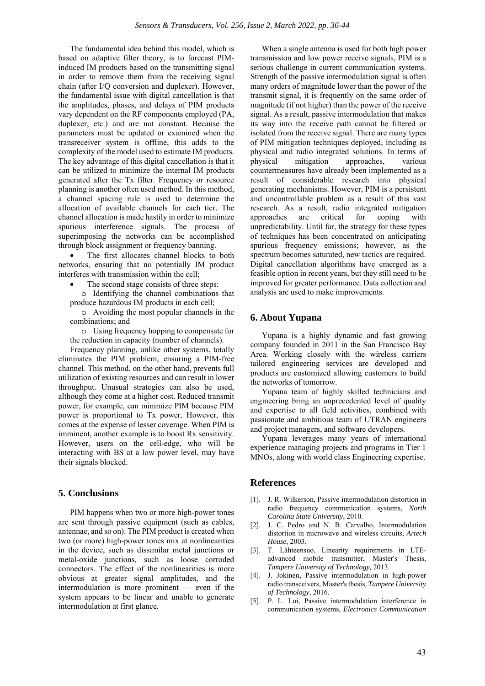The fundamental idea behind this model, which is based on adaptive filter theory, is to forecast PIMinduced IM products based on the transmitting signal in order to remove them from the receiving signal chain (after I/Q conversion and duplexer). However, the fundamental issue with digital cancellation is that the amplitudes, phases, and delays of PIM products vary dependent on the RF components employed (PA, duplexer, etc.) and are not constant. Because the parameters must be updated or examined when the transreceiver system is offline, this adds to the complexity of the model used to estimate IM products. The key advantage of this digital cancellation is that it can be utilized to minimize the internal IM products generated after the Tx filter. Frequency or resource planning is another often used method. In this method, a channel spacing rule is used to determine the allocation of available channels for each tier. The channel allocation is made hastily in order to minimize spurious interference signals. The process of superimposing the networks can be accomplished through block assignment or frequency banning.

The first allocates channel blocks to both networks, ensuring that no potentially IM product interferes with transmission within the cell;

- The second stage consists of three steps:
- o Identifying the channel combinations that produce hazardous IM products in each cell;
- o Avoiding the most popular channels in the combinations; and

o Using frequency hopping to compensate for the reduction in capacity (number of channels).

Frequency planning, unlike other systems, totally eliminates the PIM problem, ensuring a PIM-free channel. This method, on the other hand, prevents full utilization of existing resources and can result in lower throughput. Unusual strategies can also be used, although they come at a higher cost. Reduced transmit power, for example, can minimize PIM because PIM power is proportional to Tx power. However, this comes at the expense of lesser coverage. When PIM is imminent, another example is to boost Rx sensitivity. However, users on the cell-edge, who will be interacting with BS at a low power level, may have their signals blocked.

#### **5. Conclusions**

PIM happens when two or more high-power tones are sent through passive equipment (such as cables, antennae, and so on). The PIM product is created when two (or more) high-power tones mix at nonlinearities in the device, such as dissimilar metal junctions or metal-oxide junctions, such as loose corroded connectors. The effect of the nonlinearities is more obvious at greater signal amplitudes, and the intermodulation is more prominent — even if the system appears to be linear and unable to generate intermodulation at first glance.

When a single antenna is used for both high power transmission and low power receive signals, PIM is a serious challenge in current communication systems. Strength of the passive intermodulation signal is often many orders of magnitude lower than the power of the transmit signal, it is frequently on the same order of magnitude (if not higher) than the power of the receive signal. As a result, passive intermodulation that makes its way into the receive path cannot be filtered or isolated from the receive signal. There are many types of PIM mitigation techniques deployed, including as physical and radio integrated solutions. In terms of physical mitigation approaches, various countermeasures have already been implemented as a result of considerable research into physical generating mechanisms. However, PIM is a persistent and uncontrollable problem as a result of this vast research. As a result, radio integrated mitigation approaches are critical for coping with unpredictability. Until far, the strategy for these types of techniques has been concentrated on anticipating spurious frequency emissions; however, as the spectrum becomes saturated, new tactics are required. Digital cancellation algorithms have emerged as a feasible option in recent years, but they still need to be improved for greater performance. Data collection and analysis are used to make improvements.

#### **6. About Yupana**

Yupana is a highly dynamic and fast growing company founded in 2011 in the San Francisco Bay Area. Working closely with the wireless carriers tailored engineering services are developed and products are customized allowing customers to build the networks of tomorrow.

Yupana team of highly skilled technicians and engineering bring an unprecedented level of quality and expertise to all field activities, combined with passionate and ambitious team of UTRAN engineers and project managers, and software developers.

Yupana leverages many years of international experience managing projects and programs in Tier 1 MNOs, along with world class Engineering expertise.

#### **References**

- [1]. J. R. Wilkerson, Passive intermodulation distortion in radio frequency communication systems, *North Carolina State University*, 2010.
- [2]. J. C. Pedro and N. B. Carvalho, Intermodulation distortion in microwave and wireless circuits, *Artech House*, 2003.
- [3]. T. Lähteensuo, Linearity requirements in LTEadvanced mobile transmitter, Master's Thesis, *Tampere University of Technology,* 2013.
- [4]. J. Jokinen, Passive intermodulation in high-power radio transceivers, Master's thesis, *Tampere University of Technology,* 2016.
- [5]. P. L. Lui, Passive intermodulation interference in communication systems, *Electronics Communication*